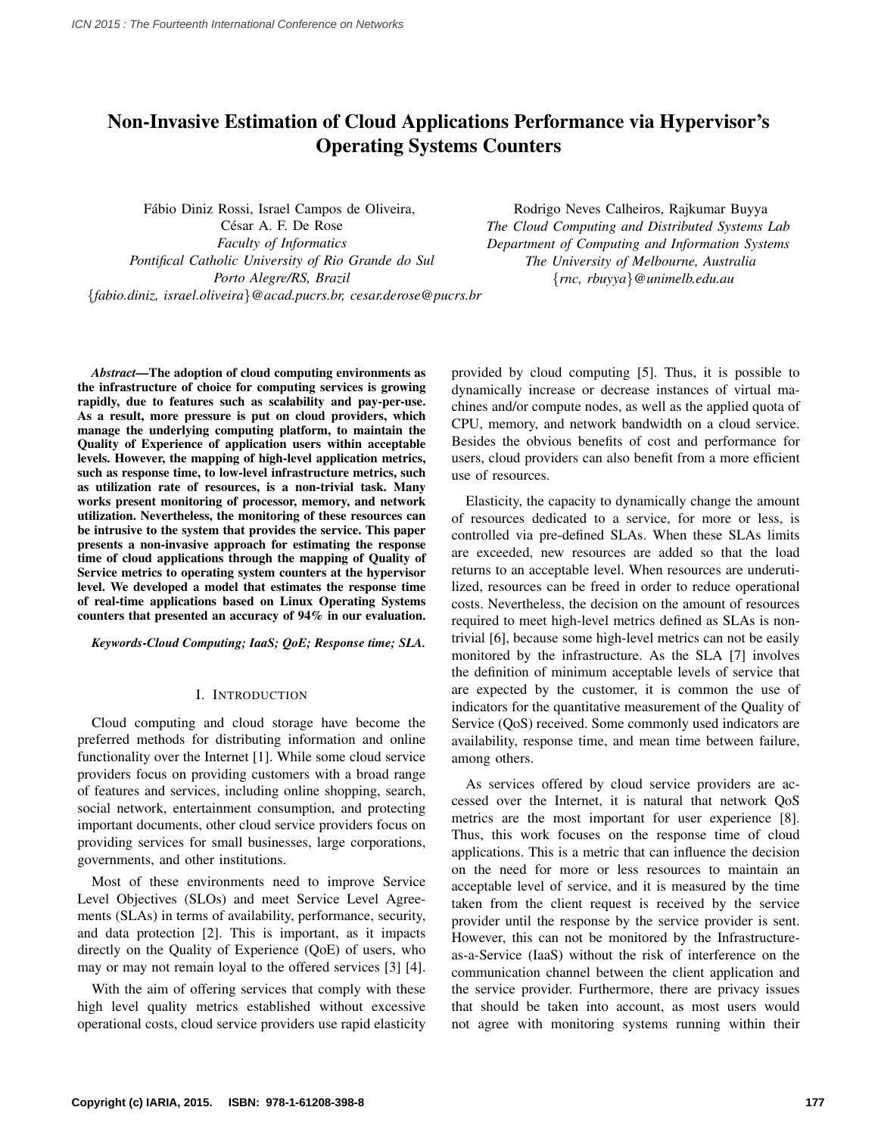# Non-Invasive Estimation of Cloud Applications Performance via Hypervisor's Operating Systems Counters

Fabio Diniz Rossi, Israel Campos de Oliveira, ´ César A. F. De Rose *Faculty of Informatics Pontifical Catholic University of Rio Grande do Sul Porto Alegre/RS, Brazil* {*fabio.diniz, israel.oliveira*}*@acad.pucrs.br, cesar.derose@pucrs.br*

Rodrigo Neves Calheiros, Rajkumar Buyya *The Cloud Computing and Distributed Systems Lab Department of Computing and Information Systems The University of Melbourne, Australia* {*rnc, rbuyya*}*@unimelb.edu.au*

*Abstract*—The adoption of cloud computing environments as the infrastructure of choice for computing services is growing rapidly, due to features such as scalability and pay-per-use. As a result, more pressure is put on cloud providers, which manage the underlying computing platform, to maintain the Quality of Experience of application users within acceptable levels. However, the mapping of high-level application metrics, such as response time, to low-level infrastructure metrics, such as utilization rate of resources, is a non-trivial task. Many works present monitoring of processor, memory, and network utilization. Nevertheless, the monitoring of these resources can be intrusive to the system that provides the service. This paper presents a non-invasive approach for estimating the response time of cloud applications through the mapping of Quality of Service metrics to operating system counters at the hypervisor level. We developed a model that estimates the response time of real-time applications based on Linux Operating Systems counters that presented an accuracy of 94% in our evaluation.

*Keywords*-*Cloud Computing; IaaS; QoE; Response time; SLA.*

## I. INTRODUCTION

Cloud computing and cloud storage have become the preferred methods for distributing information and online functionality over the Internet [1]. While some cloud service providers focus on providing customers with a broad range of features and services, including online shopping, search, social network, entertainment consumption, and protecting important documents, other cloud service providers focus on providing services for small businesses, large corporations, governments, and other institutions.

Most of these environments need to improve Service Level Objectives (SLOs) and meet Service Level Agreements (SLAs) in terms of availability, performance, security, and data protection [2]. This is important, as it impacts directly on the Quality of Experience (QoE) of users, who may or may not remain loyal to the offered services [3] [4].

With the aim of offering services that comply with these high level quality metrics established without excessive operational costs, cloud service providers use rapid elasticity provided by cloud computing [5]. Thus, it is possible to dynamically increase or decrease instances of virtual machines and/or compute nodes, as well as the applied quota of CPU, memory, and network bandwidth on a cloud service. Besides the obvious benefits of cost and performance for users, cloud providers can also benefit from a more efficient use of resources.

Elasticity, the capacity to dynamically change the amount of resources dedicated to a service, for more or less, is controlled via pre-defined SLAs. When these SLAs limits are exceeded, new resources are added so that the load returns to an acceptable level. When resources are underutilized, resources can be freed in order to reduce operational costs. Nevertheless, the decision on the amount of resources required to meet high-level metrics defined as SLAs is nontrivial [6], because some high-level metrics can not be easily monitored by the infrastructure. As the SLA [7] involves the definition of minimum acceptable levels of service that are expected by the customer, it is common the use of indicators for the quantitative measurement of the Quality of Service (QoS) received. Some commonly used indicators are availability, response time, and mean time between failure, among others.

As services offered by cloud service providers are accessed over the Internet, it is natural that network QoS metrics are the most important for user experience [8]. Thus, this work focuses on the response time of cloud applications. This is a metric that can influence the decision on the need for more or less resources to maintain an acceptable level of service, and it is measured by the time taken from the client request is received by the service provider until the response by the service provider is sent. However, this can not be monitored by the Infrastructureas-a-Service (IaaS) without the risk of interference on the communication channel between the client application and the service provider. Furthermore, there are privacy issues that should be taken into account, as most users would not agree with monitoring systems running within their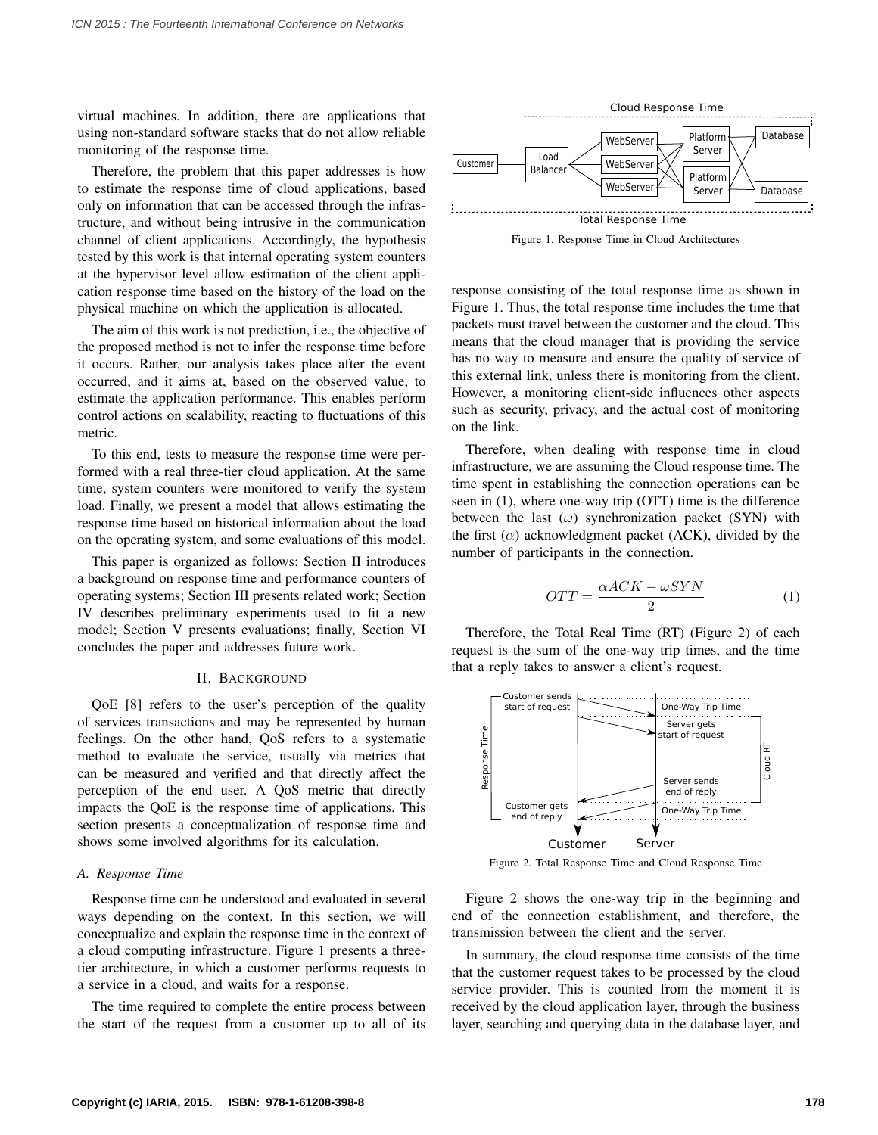virtual machines. In addition, there are applications that using non-standard software stacks that do not allow reliable monitoring of the response time.

Therefore, the problem that this paper addresses is how to estimate the response time of cloud applications, based only on information that can be accessed through the infrastructure, and without being intrusive in the communication channel of client applications. Accordingly, the hypothesis tested by this work is that internal operating system counters at the hypervisor level allow estimation of the client application response time based on the history of the load on the physical machine on which the application is allocated.

The aim of this work is not prediction, i.e., the objective of the proposed method is not to infer the response time before it occurs. Rather, our analysis takes place after the event occurred, and it aims at, based on the observed value, to estimate the application performance. This enables perform control actions on scalability, reacting to fluctuations of this metric.

To this end, tests to measure the response time were performed with a real three-tier cloud application. At the same time, system counters were monitored to verify the system load. Finally, we present a model that allows estimating the response time based on historical information about the load on the operating system, and some evaluations of this model.

This paper is organized as follows: Section II introduces a background on response time and performance counters of operating systems; Section III presents related work; Section IV describes preliminary experiments used to fit a new model; Section V presents evaluations; finally, Section VI concludes the paper and addresses future work.

# II. BACKGROUND

QoE [8] refers to the user's perception of the quality of services transactions and may be represented by human feelings. On the other hand, QoS refers to a systematic method to evaluate the service, usually via metrics that can be measured and verified and that directly affect the perception of the end user. A QoS metric that directly impacts the QoE is the response time of applications. This section presents a conceptualization of response time and shows some involved algorithms for its calculation.

## *A. Response Time*

Response time can be understood and evaluated in several ways depending on the context. In this section, we will conceptualize and explain the response time in the context of a cloud computing infrastructure. Figure 1 presents a threetier architecture, in which a customer performs requests to a service in a cloud, and waits for a response.

The time required to complete the entire process between the start of the request from a customer up to all of its



Figure 1. Response Time in Cloud Architectures

response consisting of the total response time as shown in Figure 1. Thus, the total response time includes the time that packets must travel between the customer and the cloud. This means that the cloud manager that is providing the service has no way to measure and ensure the quality of service of this external link, unless there is monitoring from the client. However, a monitoring client-side influences other aspects such as security, privacy, and the actual cost of monitoring on the link.

Therefore, when dealing with response time in cloud infrastructure, we are assuming the Cloud response time. The time spent in establishing the connection operations can be seen in (1), where one-way trip (OTT) time is the difference between the last  $(\omega)$  synchronization packet (SYN) with the first  $(\alpha)$  acknowledgment packet (ACK), divided by the number of participants in the connection.

$$
OTT = \frac{\alpha ACK - \omega SYN}{2} \tag{1}
$$

Therefore, the Total Real Time (RT) (Figure 2) of each request is the sum of the one-way trip times, and the time that a reply takes to answer a client's request.



Figure 2. Total Response Time and Cloud Response Time

Figure 2 shows the one-way trip in the beginning and end of the connection establishment, and therefore, the transmission between the client and the server.

In summary, the cloud response time consists of the time that the customer request takes to be processed by the cloud service provider. This is counted from the moment it is received by the cloud application layer, through the business layer, searching and querying data in the database layer, and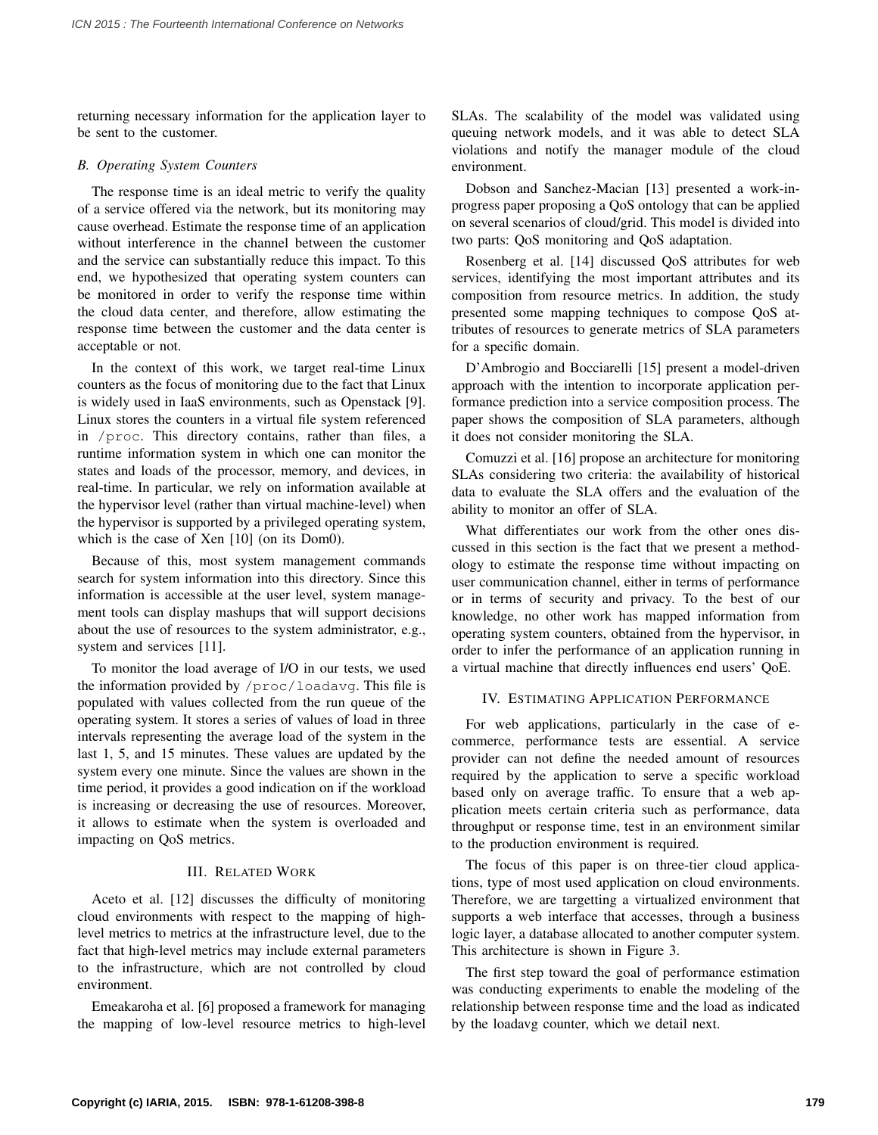returning necessary information for the application layer to be sent to the customer.

# *B. Operating System Counters*

The response time is an ideal metric to verify the quality of a service offered via the network, but its monitoring may cause overhead. Estimate the response time of an application without interference in the channel between the customer and the service can substantially reduce this impact. To this end, we hypothesized that operating system counters can be monitored in order to verify the response time within the cloud data center, and therefore, allow estimating the response time between the customer and the data center is acceptable or not.

In the context of this work, we target real-time Linux counters as the focus of monitoring due to the fact that Linux is widely used in IaaS environments, such as Openstack [9]. Linux stores the counters in a virtual file system referenced in /proc. This directory contains, rather than files, a runtime information system in which one can monitor the states and loads of the processor, memory, and devices, in real-time. In particular, we rely on information available at the hypervisor level (rather than virtual machine-level) when the hypervisor is supported by a privileged operating system, which is the case of Xen [10] (on its Dom0).

Because of this, most system management commands search for system information into this directory. Since this information is accessible at the user level, system management tools can display mashups that will support decisions about the use of resources to the system administrator, e.g., system and services [11].

To monitor the load average of I/O in our tests, we used the information provided by /proc/loadavg. This file is populated with values collected from the run queue of the operating system. It stores a series of values of load in three intervals representing the average load of the system in the last 1, 5, and 15 minutes. These values are updated by the system every one minute. Since the values are shown in the time period, it provides a good indication on if the workload is increasing or decreasing the use of resources. Moreover, it allows to estimate when the system is overloaded and impacting on QoS metrics.

# III. RELATED WORK

Aceto et al. [12] discusses the difficulty of monitoring cloud environments with respect to the mapping of highlevel metrics to metrics at the infrastructure level, due to the fact that high-level metrics may include external parameters to the infrastructure, which are not controlled by cloud environment.

Emeakaroha et al. [6] proposed a framework for managing the mapping of low-level resource metrics to high-level SLAs. The scalability of the model was validated using queuing network models, and it was able to detect SLA violations and notify the manager module of the cloud environment.

Dobson and Sanchez-Macian [13] presented a work-inprogress paper proposing a QoS ontology that can be applied on several scenarios of cloud/grid. This model is divided into two parts: QoS monitoring and QoS adaptation.

Rosenberg et al. [14] discussed QoS attributes for web services, identifying the most important attributes and its composition from resource metrics. In addition, the study presented some mapping techniques to compose QoS attributes of resources to generate metrics of SLA parameters for a specific domain.

D'Ambrogio and Bocciarelli [15] present a model-driven approach with the intention to incorporate application performance prediction into a service composition process. The paper shows the composition of SLA parameters, although it does not consider monitoring the SLA.

Comuzzi et al. [16] propose an architecture for monitoring SLAs considering two criteria: the availability of historical data to evaluate the SLA offers and the evaluation of the ability to monitor an offer of SLA.

What differentiates our work from the other ones discussed in this section is the fact that we present a methodology to estimate the response time without impacting on user communication channel, either in terms of performance or in terms of security and privacy. To the best of our knowledge, no other work has mapped information from operating system counters, obtained from the hypervisor, in order to infer the performance of an application running in a virtual machine that directly influences end users' QoE.

#### IV. ESTIMATING APPLICATION PERFORMANCE

For web applications, particularly in the case of ecommerce, performance tests are essential. A service provider can not define the needed amount of resources required by the application to serve a specific workload based only on average traffic. To ensure that a web application meets certain criteria such as performance, data throughput or response time, test in an environment similar to the production environment is required.

The focus of this paper is on three-tier cloud applications, type of most used application on cloud environments. Therefore, we are targetting a virtualized environment that supports a web interface that accesses, through a business logic layer, a database allocated to another computer system. This architecture is shown in Figure 3.

The first step toward the goal of performance estimation was conducting experiments to enable the modeling of the relationship between response time and the load as indicated by the loadavg counter, which we detail next.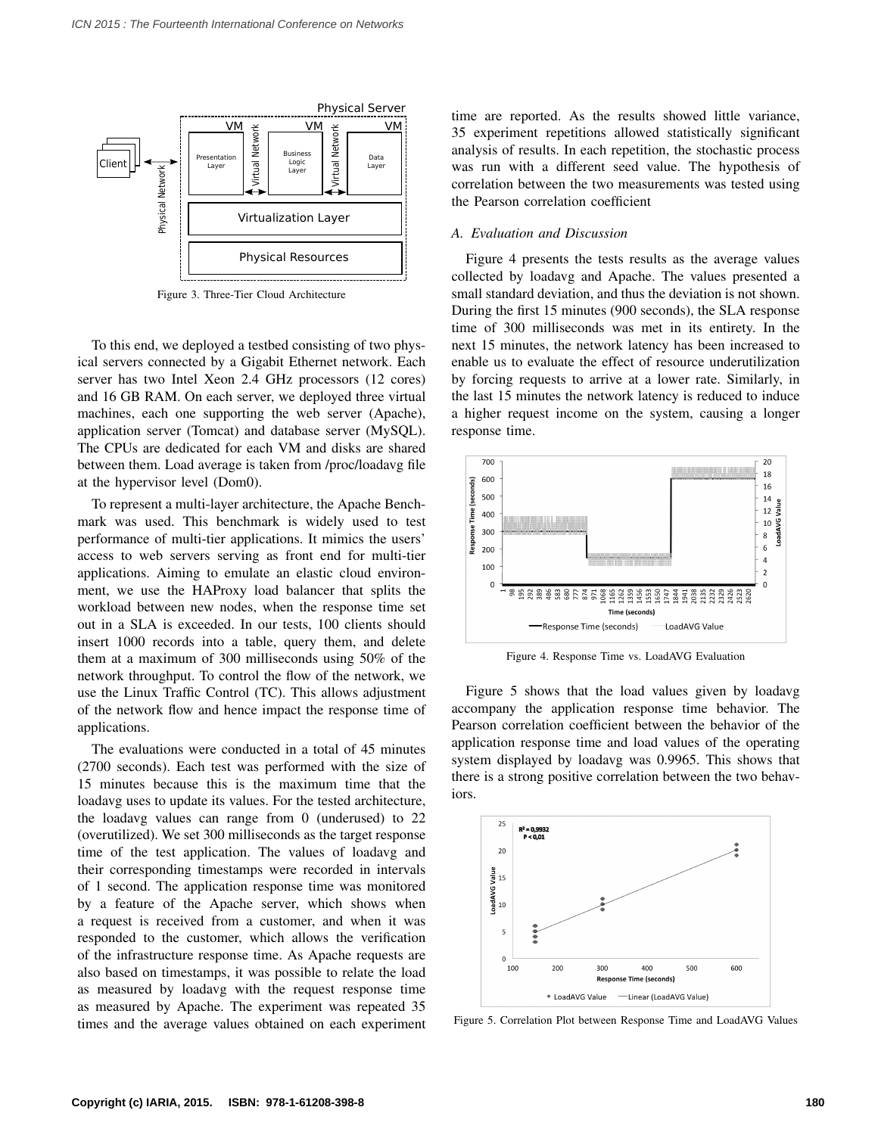

Figure 3. Three-Tier Cloud Architecture

To this end, we deployed a testbed consisting of two physical servers connected by a Gigabit Ethernet network. Each server has two Intel Xeon 2.4 GHz processors (12 cores) and 16 GB RAM. On each server, we deployed three virtual machines, each one supporting the web server (Apache), application server (Tomcat) and database server (MySQL). The CPUs are dedicated for each VM and disks are shared between them. Load average is taken from /proc/loadavg file at the hypervisor level (Dom0).

To represent a multi-layer architecture, the Apache Benchmark was used. This benchmark is widely used to test performance of multi-tier applications. It mimics the users' access to web servers serving as front end for multi-tier applications. Aiming to emulate an elastic cloud environment, we use the HAProxy load balancer that splits the workload between new nodes, when the response time set out in a SLA is exceeded. In our tests, 100 clients should insert 1000 records into a table, query them, and delete them at a maximum of 300 milliseconds using 50% of the network throughput. To control the flow of the network, we use the Linux Traffic Control (TC). This allows adjustment of the network flow and hence impact the response time of applications.

The evaluations were conducted in a total of 45 minutes (2700 seconds). Each test was performed with the size of 15 minutes because this is the maximum time that the loadavg uses to update its values. For the tested architecture, the loadavg values can range from 0 (underused) to 22 (overutilized). We set 300 milliseconds as the target response time of the test application. The values of loadavg and their corresponding timestamps were recorded in intervals of 1 second. The application response time was monitored by a feature of the Apache server, which shows when a request is received from a customer, and when it was responded to the customer, which allows the verification of the infrastructure response time. As Apache requests are also based on timestamps, it was possible to relate the load as measured by loadavg with the request response time as measured by Apache. The experiment was repeated 35 times and the average values obtained on each experiment time are reported. As the results showed little variance, 35 experiment repetitions allowed statistically significant analysis of results. In each repetition, the stochastic process was run with a different seed value. The hypothesis of correlation between the two measurements was tested using the Pearson correlation coefficient

# *A. Evaluation and Discussion*

Figure 4 presents the tests results as the average values collected by loadavg and Apache. The values presented a small standard deviation, and thus the deviation is not shown. During the first 15 minutes (900 seconds), the SLA response time of 300 milliseconds was met in its entirety. In the next 15 minutes, the network latency has been increased to enable us to evaluate the effect of resource underutilization by forcing requests to arrive at a lower rate. Similarly, in the last 15 minutes the network latency is reduced to induce a higher request income on the system, causing a longer response time.



Figure 4. Response Time vs. LoadAVG Evaluation

Figure 5 shows that the load values given by loadavg accompany the application response time behavior. The Pearson correlation coefficient between the behavior of the application response time and load values of the operating system displayed by loadavg was 0.9965. This shows that there is a strong positive correlation between the two behaviors.



Figure 5. Correlation Plot between Response Time and LoadAVG Values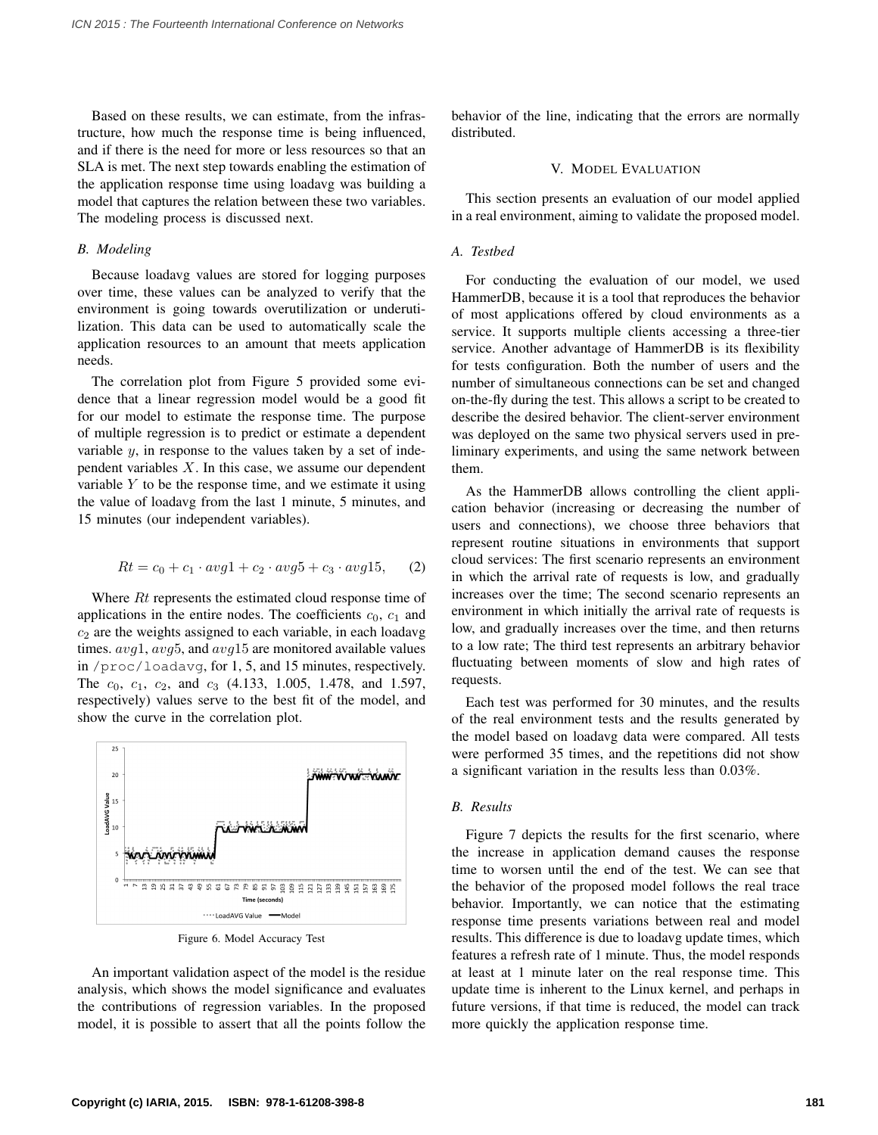Based on these results, we can estimate, from the infrastructure, how much the response time is being influenced, and if there is the need for more or less resources so that an SLA is met. The next step towards enabling the estimation of the application response time using loadavg was building a model that captures the relation between these two variables. The modeling process is discussed next.

#### *B. Modeling*

Because loadavg values are stored for logging purposes over time, these values can be analyzed to verify that the environment is going towards overutilization or underutilization. This data can be used to automatically scale the application resources to an amount that meets application needs.

The correlation plot from Figure 5 provided some evidence that a linear regression model would be a good fit for our model to estimate the response time. The purpose of multiple regression is to predict or estimate a dependent variable  $y$ , in response to the values taken by a set of independent variables  $X$ . In this case, we assume our dependent variable  $Y$  to be the response time, and we estimate it using the value of loadavg from the last 1 minute, 5 minutes, and 15 minutes (our independent variables).

$$
Rt = c_0 + c_1 \cdot avg1 + c_2 \cdot avg5 + c_3 \cdot avg15, \quad (2)
$$

Where  $Rt$  represents the estimated cloud response time of applications in the entire nodes. The coefficients  $c_0$ ,  $c_1$  and  $c<sub>2</sub>$  are the weights assigned to each variable, in each loadavg times.  $avg1, avg5$ , and  $avg15$  are monitored available values in /proc/loadavg, for 1, 5, and 15 minutes, respectively. The  $c_0$ ,  $c_1$ ,  $c_2$ , and  $c_3$  (4.133, 1.005, 1.478, and 1.597, respectively) values serve to the best fit of the model, and show the curve in the correlation plot.



Figure 6. Model Accuracy Test

An important validation aspect of the model is the residue analysis, which shows the model significance and evaluates the contributions of regression variables. In the proposed model, it is possible to assert that all the points follow the behavior of the line, indicating that the errors are normally distributed.

## V. MODEL EVALUATION

This section presents an evaluation of our model applied in a real environment, aiming to validate the proposed model.

# *A. Testbed*

For conducting the evaluation of our model, we used HammerDB, because it is a tool that reproduces the behavior of most applications offered by cloud environments as a service. It supports multiple clients accessing a three-tier service. Another advantage of HammerDB is its flexibility for tests configuration. Both the number of users and the number of simultaneous connections can be set and changed on-the-fly during the test. This allows a script to be created to describe the desired behavior. The client-server environment was deployed on the same two physical servers used in preliminary experiments, and using the same network between them.

As the HammerDB allows controlling the client application behavior (increasing or decreasing the number of users and connections), we choose three behaviors that represent routine situations in environments that support cloud services: The first scenario represents an environment in which the arrival rate of requests is low, and gradually increases over the time; The second scenario represents an environment in which initially the arrival rate of requests is low, and gradually increases over the time, and then returns to a low rate; The third test represents an arbitrary behavior fluctuating between moments of slow and high rates of requests.

Each test was performed for 30 minutes, and the results of the real environment tests and the results generated by the model based on loadavg data were compared. All tests were performed 35 times, and the repetitions did not show a significant variation in the results less than 0.03%.

## *B. Results*

Figure 7 depicts the results for the first scenario, where the increase in application demand causes the response time to worsen until the end of the test. We can see that the behavior of the proposed model follows the real trace behavior. Importantly, we can notice that the estimating response time presents variations between real and model results. This difference is due to loadavg update times, which features a refresh rate of 1 minute. Thus, the model responds at least at 1 minute later on the real response time. This update time is inherent to the Linux kernel, and perhaps in future versions, if that time is reduced, the model can track more quickly the application response time.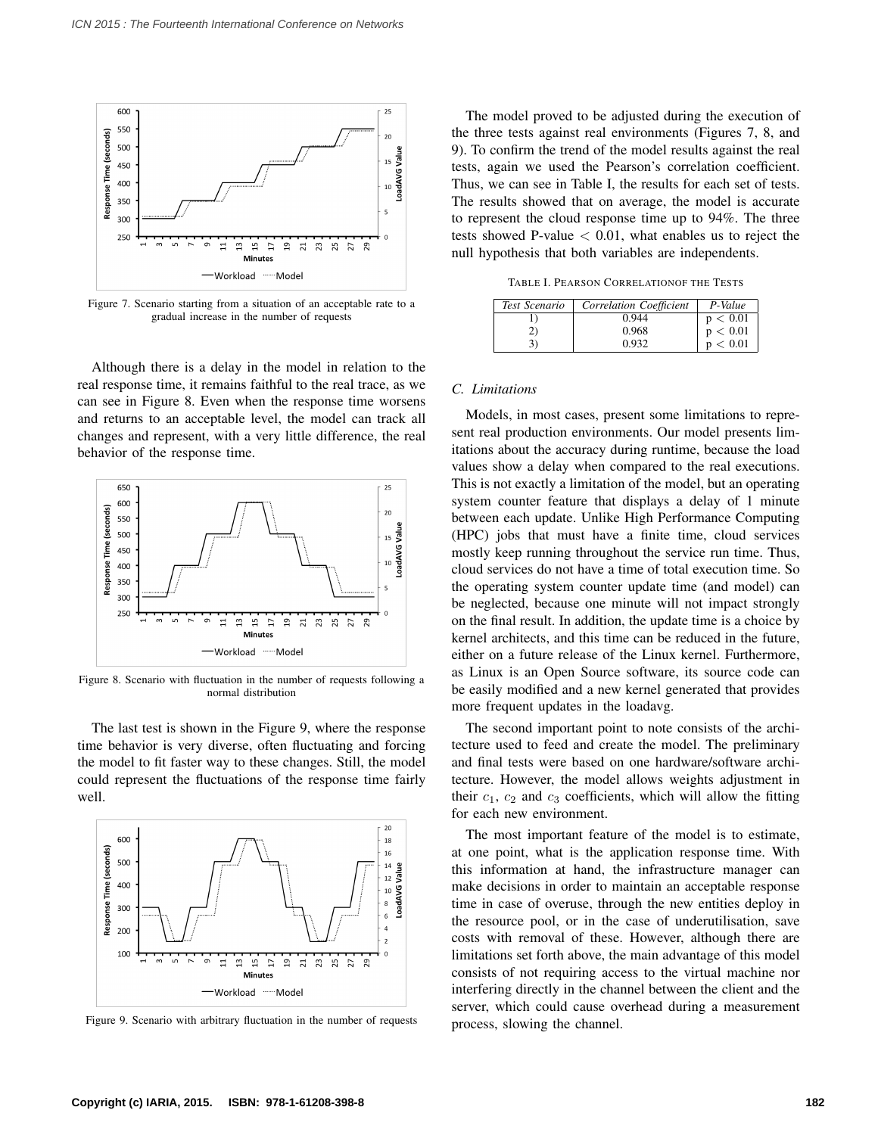

Figure 7. Scenario starting from a situation of an acceptable rate to a gradual increase in the number of requests

Although there is a delay in the model in relation to the real response time, it remains faithful to the real trace, as we can see in Figure 8. Even when the response time worsens and returns to an acceptable level, the model can track all changes and represent, with a very little difference, the real behavior of the response time.



Figure 8. Scenario with fluctuation in the number of requests following a normal distribution

The last test is shown in the Figure 9, where the response time behavior is very diverse, often fluctuating and forcing the model to fit faster way to these changes. Still, the model could represent the fluctuations of the response time fairly well.



Figure 9. Scenario with arbitrary fluctuation in the number of requests

The model proved to be adjusted during the execution of the three tests against real environments (Figures 7, 8, and 9). To confirm the trend of the model results against the real tests, again we used the Pearson's correlation coefficient. Thus, we can see in Table I, the results for each set of tests. The results showed that on average, the model is accurate to represent the cloud response time up to 94%. The three tests showed P-value  $< 0.01$ , what enables us to reject the null hypothesis that both variables are independents.

TABLE I. PEARSON CORRELATIONOF THE TESTS

| Test Scenario | Correlation Coefficient | P-Value  |
|---------------|-------------------------|----------|
|               | 0.944                   | p < 0.01 |
| 21            | 0.968                   | p < 0.01 |
|               | 0.932                   | p < 0.01 |

## *C. Limitations*

Models, in most cases, present some limitations to represent real production environments. Our model presents limitations about the accuracy during runtime, because the load values show a delay when compared to the real executions. This is not exactly a limitation of the model, but an operating system counter feature that displays a delay of 1 minute between each update. Unlike High Performance Computing (HPC) jobs that must have a finite time, cloud services mostly keep running throughout the service run time. Thus, cloud services do not have a time of total execution time. So the operating system counter update time (and model) can be neglected, because one minute will not impact strongly on the final result. In addition, the update time is a choice by kernel architects, and this time can be reduced in the future, either on a future release of the Linux kernel. Furthermore, as Linux is an Open Source software, its source code can be easily modified and a new kernel generated that provides more frequent updates in the loadavg.

The second important point to note consists of the architecture used to feed and create the model. The preliminary and final tests were based on one hardware/software architecture. However, the model allows weights adjustment in their  $c_1$ ,  $c_2$  and  $c_3$  coefficients, which will allow the fitting for each new environment.

The most important feature of the model is to estimate, at one point, what is the application response time. With this information at hand, the infrastructure manager can make decisions in order to maintain an acceptable response time in case of overuse, through the new entities deploy in the resource pool, or in the case of underutilisation, save costs with removal of these. However, although there are limitations set forth above, the main advantage of this model consists of not requiring access to the virtual machine nor interfering directly in the channel between the client and the server, which could cause overhead during a measurement process, slowing the channel.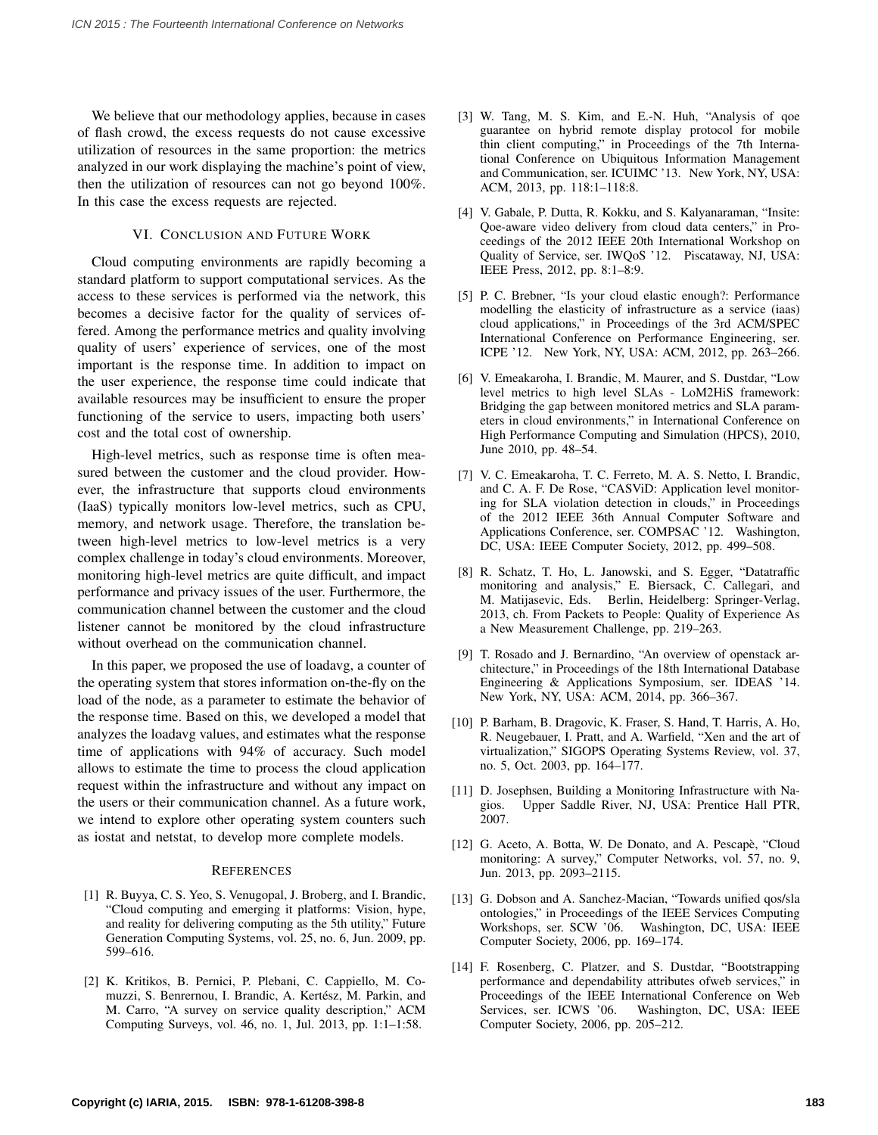We believe that our methodology applies, because in cases of flash crowd, the excess requests do not cause excessive utilization of resources in the same proportion: the metrics analyzed in our work displaying the machine's point of view, then the utilization of resources can not go beyond 100%. In this case the excess requests are rejected.

# VI. CONCLUSION AND FUTURE WORK

Cloud computing environments are rapidly becoming a standard platform to support computational services. As the access to these services is performed via the network, this becomes a decisive factor for the quality of services offered. Among the performance metrics and quality involving quality of users' experience of services, one of the most important is the response time. In addition to impact on the user experience, the response time could indicate that available resources may be insufficient to ensure the proper functioning of the service to users, impacting both users' cost and the total cost of ownership.

High-level metrics, such as response time is often measured between the customer and the cloud provider. However, the infrastructure that supports cloud environments (IaaS) typically monitors low-level metrics, such as CPU, memory, and network usage. Therefore, the translation between high-level metrics to low-level metrics is a very complex challenge in today's cloud environments. Moreover, monitoring high-level metrics are quite difficult, and impact performance and privacy issues of the user. Furthermore, the communication channel between the customer and the cloud listener cannot be monitored by the cloud infrastructure without overhead on the communication channel.

In this paper, we proposed the use of loadavg, a counter of the operating system that stores information on-the-fly on the load of the node, as a parameter to estimate the behavior of the response time. Based on this, we developed a model that analyzes the loadavg values, and estimates what the response time of applications with 94% of accuracy. Such model allows to estimate the time to process the cloud application request within the infrastructure and without any impact on the users or their communication channel. As a future work, we intend to explore other operating system counters such as iostat and netstat, to develop more complete models.

## **REFERENCES**

- [1] R. Buyya, C. S. Yeo, S. Venugopal, J. Broberg, and I. Brandic, "Cloud computing and emerging it platforms: Vision, hype, and reality for delivering computing as the 5th utility," Future Generation Computing Systems, vol. 25, no. 6, Jun. 2009, pp. 599–616.
- [2] K. Kritikos, B. Pernici, P. Plebani, C. Cappiello, M. Comuzzi, S. Benrernou, I. Brandic, A. Kertész, M. Parkin, and M. Carro, "A survey on service quality description," ACM Computing Surveys, vol. 46, no. 1, Jul. 2013, pp. 1:1–1:58.
- [3] W. Tang, M. S. Kim, and E.-N. Huh, "Analysis of qoe guarantee on hybrid remote display protocol for mobile thin client computing," in Proceedings of the 7th International Conference on Ubiquitous Information Management and Communication, ser. ICUIMC '13. New York, NY, USA: ACM, 2013, pp. 118:1–118:8.
- [4] V. Gabale, P. Dutta, R. Kokku, and S. Kalyanaraman, "Insite: Qoe-aware video delivery from cloud data centers," in Proceedings of the 2012 IEEE 20th International Workshop on Quality of Service, ser. IWQoS '12. Piscataway, NJ, USA: IEEE Press, 2012, pp. 8:1–8:9.
- [5] P. C. Brebner, "Is your cloud elastic enough?: Performance modelling the elasticity of infrastructure as a service (iaas) cloud applications," in Proceedings of the 3rd ACM/SPEC International Conference on Performance Engineering, ser. ICPE '12. New York, NY, USA: ACM, 2012, pp. 263–266.
- [6] V. Emeakaroha, I. Brandic, M. Maurer, and S. Dustdar, "Low level metrics to high level SLAs - LoM2HiS framework: Bridging the gap between monitored metrics and SLA parameters in cloud environments," in International Conference on High Performance Computing and Simulation (HPCS), 2010, June 2010, pp. 48–54.
- [7] V. C. Emeakaroha, T. C. Ferreto, M. A. S. Netto, I. Brandic, and C. A. F. De Rose, "CASViD: Application level monitoring for SLA violation detection in clouds," in Proceedings of the 2012 IEEE 36th Annual Computer Software and Applications Conference, ser. COMPSAC '12. Washington, DC, USA: IEEE Computer Society, 2012, pp. 499–508.
- [8] R. Schatz, T. Ho, L. Janowski, and S. Egger, "Datatraffic monitoring and analysis," E. Biersack, C. Callegari, and M. Matijasevic, Eds. Berlin, Heidelberg: Springer-Verlag, 2013, ch. From Packets to People: Quality of Experience As a New Measurement Challenge, pp. 219–263.
- [9] T. Rosado and J. Bernardino, "An overview of openstack architecture," in Proceedings of the 18th International Database Engineering & Applications Symposium, ser. IDEAS '14. New York, NY, USA: ACM, 2014, pp. 366–367.
- [10] P. Barham, B. Dragovic, K. Fraser, S. Hand, T. Harris, A. Ho, R. Neugebauer, I. Pratt, and A. Warfield, "Xen and the art of virtualization," SIGOPS Operating Systems Review, vol. 37, no. 5, Oct. 2003, pp. 164–177.
- [11] D. Josephsen, Building a Monitoring Infrastructure with Nagios. Upper Saddle River, NJ, USA: Prentice Hall PTR, 2007.
- [12] G. Aceto, A. Botta, W. De Donato, and A. Pescapè, "Cloud monitoring: A survey," Computer Networks, vol. 57, no. 9, Jun. 2013, pp. 2093–2115.
- [13] G. Dobson and A. Sanchez-Macian, "Towards unified qos/sla ontologies," in Proceedings of the IEEE Services Computing Workshops, ser. SCW '06. Washington, DC, USA: IEEE Computer Society, 2006, pp. 169–174.
- [14] F. Rosenberg, C. Platzer, and S. Dustdar, "Bootstrapping performance and dependability attributes ofweb services," in Proceedings of the IEEE International Conference on Web Services, ser. ICWS '06. Washington, DC, USA: IEEE Washington, DC, USA: IEEE Computer Society, 2006, pp. 205–212.